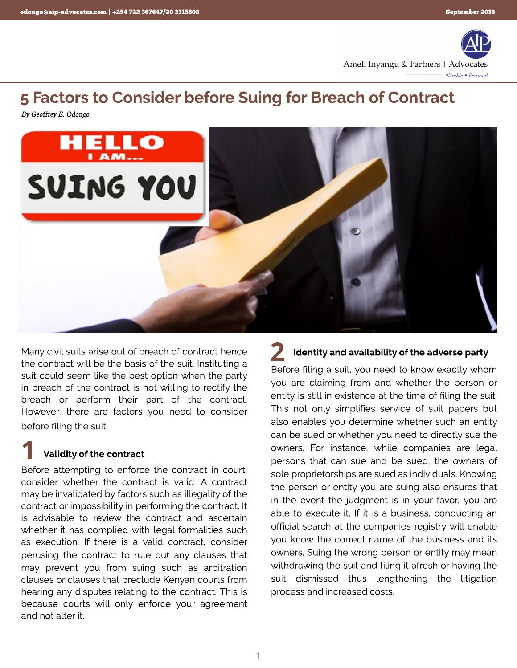

# 5 Factors to Consider before Suing for Breach of Contract

**By Geoffrey E. Odongo**



Many civil suits arise out of breach of contract hence the contract will be the basis of the suit. Instituting a suit could seem like the best option when the party in breach of the contract is not willing to rectify the breach or perform their part of the contract. However, there are factors you need to consider before filing the suit.

## Validity of the contract 1

Before attempting to enforce the contract in court, consider whether the contract is valid. A contract may be invalidated by factors such as illegality of the contract or impossibility in performing the contract. It is advisable to review the contract and ascertain whether it has complied with legal formalities such as execution. If there is a valid contract, consider perusing the contract to rule out any clauses that may prevent you from suing such as arbitration clauses or clauses that preclude Kenyan courts from hearing any disputes relating to the contract. This is because courts will only enforce your agreement and not alter it.

## Identity and availability of the adverse party 2

Before filing a suit, you need to know exactly whom you are claiming from and whether the person or entity is still in existence at the time of filing the suit. This not only simplifies service of suit papers but also enables you determine whether such an entity can be sued or whether you need to directly sue the owners. For instance, while companies are legal persons that can sue and be sued, the owners of sole proprietorships are sued as individuals. Knowing the person or entity you are suing also ensures that in the event the judgment is in your favor, you are able to execute it. If it is a business, conducting an official search at the companies registry will enable you know the correct name of the business and its owners. Suing the wrong person or entity may mean withdrawing the suit and filing it afresh or having the suit dismissed thus lengthening the litigation process and increased costs.